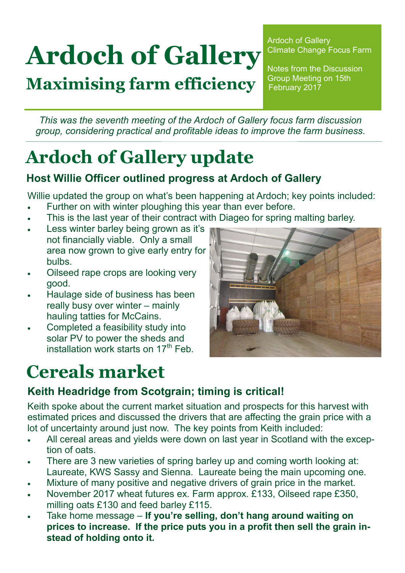# **Ardoch of Gallery**

**Maximising farm efficiency**

Ardoch of Gallery Climate Change Focus Farm

Notes from the Discussion Group Meeting on 15th February 2017

*This was the seventh meeting of the Ardoch of Gallery focus farm discussion group, considering practical and profitable ideas to improve the farm business.* 

# **Ardoch of Gallery update**

#### **Host Willie Officer outlined progress at Ardoch of Gallery**

Willie updated the group on what's been happening at Ardoch; key points included:

- Further on with winter ploughing this year than ever before.
- This is the last year of their contract with Diageo for spring malting barley.
- Less winter barley being grown as it's not financially viable. Only a small area now grown to give early entry for bulbs.
- Oilseed rape crops are looking very good.
- Haulage side of business has been really busy over winter – mainly hauling tatties for McCains.
- Completed a feasibility study into solar PV to power the sheds and installation work starts on  $17<sup>th</sup>$  Feb.

## **Cereals market**



#### **Keith Headridge from Scotgrain; timing is critical!**

Keith spoke about the current market situation and prospects for this harvest with estimated prices and discussed the drivers that are affecting the grain price with a lot of uncertainty around just now. The key points from Keith included:

- All cereal areas and yields were down on last year in Scotland with the exception of oats.
- There are 3 new varieties of spring barley up and coming worth looking at: Laureate, KWS Sassy and Sienna. Laureate being the main upcoming one.
- Mixture of many positive and negative drivers of grain price in the market.
- November 2017 wheat futures ex. Farm approx. £133, Oilseed rape £350, milling oats £130 and feed barley £115.
- Take home message **If you're selling, don't hang around waiting on prices to increase. If the price puts you in a profit then sell the grain instead of holding onto it.**